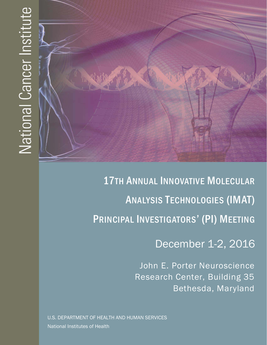

December 1-2, 2016

John E. Porter Neuroscience Research Center, Building 35 Bethesda, Maryland

U.S. DEPARTMENT OF HEALTH AND HUMAN SERVICES National Institutes of Health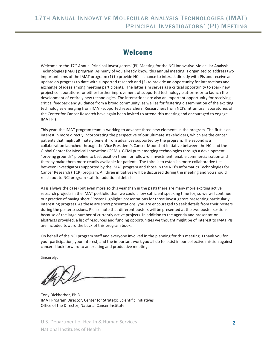### Welcome

Welcome to the 17<sup>th</sup> Annual Principal Investigators' (PI) Meeting for the NCI Innovative Molecular Analysis Technologies (IMAT) program. As many of you already know, this annual meeting is organized to address two important aims of the IMAT program: (1) to provide NCI a chance to interact directly with PIs and receive an update on progress to date with supported research and (2) to provide an opportunity for interactions and exchange of ideas among meeting participants. The latter aim serves as a critical opportunity to spark new project collaborations for either further improvement of supported technology platforms or to launch the development of entirely new technologies. The interactions are also an important opportunity for receiving critical feedback and guidance from a broad community, as well as for fostering dissemination of the exciting technologies emerging from IMAT-supported researchers. Researchers from NCI's intramural laboratories of the Center for Cancer Research have again been invited to attend this meeting and encouraged to engage IMAT PIs.

This year, the IMAT program team is working to advance three new elements in the program. The first is an interest in more directly incorporating the perspective of our ultimate stakeholders, which are the cancer patients that might ultimately benefit from advances supported by the program. The second is a collaboration launched through the Vice President's Cancer Moonshot Initiative between the NCI and the Global Center for Medical Innovation (GCMI). GCMI puts emerging technologies through a development "proving grounds" pipeline to best position them for follow-on investment, enable commercialization and thereby make them more readily available for patients. The third is to establish more collaborative ties between investigators supported by the IMAT program and those in the NCI's Informatics Technologies for Cancer Research (ITCR) program. All three initiatives will be discussed during the meeting and you should reach out to NCI program staff for additional details.

As is always the case (but even more so this year than in the past) there are many more exciting active research projects in the IMAT portfolio than we could allow sufficient speaking time for, so we will continue our practice of having short "Poster Highlight" presentations for those investigators presenting particularly interesting progress. As these are short presentations, you are encouraged to seek details from their posters during the poster sessions. Please note that different posters will be presented at the two poster sessions because of the large number of currently active projects. In addition to the agenda and presentation abstracts provided, a list of resources and funding opportunities we thought might be of interest to IMAT PIs are included toward the back of this program book.

On behalf of the NCI program staff and everyone involved in the planning for this meeting, I thank you for your participation, your interest, and the important work you all do to assist in our collective mission against cancer. I look forward to an exciting and productive meeting.

Sincerely,

Tony Dickherber, Ph.D. IMAT Program Director, Center for Strategic Scientific Initiatives Office of the Director, National Cancer Institute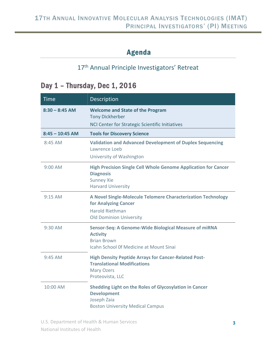## Agenda

## 17<sup>th</sup> Annual Principle Investigators' Retreat

# Day 1 – Thursday, Dec 1, 2016

| <b>Time</b>       | <b>Description</b>                                                                                                                               |
|-------------------|--------------------------------------------------------------------------------------------------------------------------------------------------|
| $8:30 - 8:45$ AM  | <b>Welcome and State of the Program</b><br><b>Tony Dickherber</b><br>NCI Center for Strategic Scientific Initiatives                             |
| $8:45 - 10:45$ AM | <b>Tools for Discovery Science</b>                                                                                                               |
| $8:45$ AM         | <b>Validation and Advanced Development of Duplex Sequencing</b><br>Lawrence Loeb<br>University of Washington                                     |
| 9:00 AM           | <b>High Precision Single Cell Whole Genome Application for Cancer</b><br><b>Diagnosis</b><br><b>Sunney Xie</b><br><b>Harvard University</b>      |
| $9:15$ AM         | A Novel Single-Molecule Telomere Characterization Technology<br>for Analyzing Cancer<br><b>Harold Riethman</b><br><b>Old Dominion University</b> |
| $9:30$ AM         | Sensor-Seq: A Genome-Wide Biological Measure of miRNA<br><b>Activity</b><br><b>Brian Brown</b><br><b>Icahn School Of Medicine at Mount Sinai</b> |
| $9:45$ AM         | <b>High Density Peptide Arrays for Cancer-Related Post-</b><br><b>Translational Modifications</b><br><b>Mary Ozers</b><br>Proteovista, LLC       |
| 10:00 AM          | Shedding Light on the Roles of Glycosylation in Cancer<br><b>Development</b><br>Joseph Zaia<br><b>Boston University Medical Campus</b>           |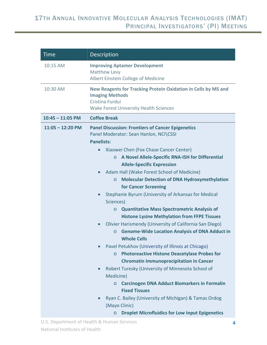| <b>Time</b>        | Description                                                                                                                                                                                                                                                                                                                                                                                                                                                                                                                                                                                                                                                                                                                                                                                                                                                                                                                                                                                                       |  |  |
|--------------------|-------------------------------------------------------------------------------------------------------------------------------------------------------------------------------------------------------------------------------------------------------------------------------------------------------------------------------------------------------------------------------------------------------------------------------------------------------------------------------------------------------------------------------------------------------------------------------------------------------------------------------------------------------------------------------------------------------------------------------------------------------------------------------------------------------------------------------------------------------------------------------------------------------------------------------------------------------------------------------------------------------------------|--|--|
| 10:15 AM           | <b>Improving Aptamer Development</b><br><b>Matthew Levy</b><br>Albert Einstein College of Medicine                                                                                                                                                                                                                                                                                                                                                                                                                                                                                                                                                                                                                                                                                                                                                                                                                                                                                                                |  |  |
| 10:30 AM           | <b>New Reagents for Tracking Protein Oxidation in Cells by MS and</b><br><b>Imaging Methods</b><br>Cristina Furdui<br><b>Wake Forest University Health Sciences</b>                                                                                                                                                                                                                                                                                                                                                                                                                                                                                                                                                                                                                                                                                                                                                                                                                                               |  |  |
| $10:45 - 11:05$ PM | <b>Coffee Break</b>                                                                                                                                                                                                                                                                                                                                                                                                                                                                                                                                                                                                                                                                                                                                                                                                                                                                                                                                                                                               |  |  |
| $11:05 - 12:20$ PM | <b>Panel Discussion: Frontiers of Cancer Epigenetics</b><br>Panel Moderator: Sean Hanlon, NCI\CSSI<br><b>Panelists:</b>                                                                                                                                                                                                                                                                                                                                                                                                                                                                                                                                                                                                                                                                                                                                                                                                                                                                                           |  |  |
|                    | Xiaowei Chen (Fox Chase Cancer Center)<br>$\bullet$<br>A Novel Allele-Specific RNA-ISH for Differential<br>$\circ$<br><b>Allele-Specific Expression</b><br>Adam Hall (Wake Forest School of Medicine)<br><b>Molecular Detection of DNA Hydroxymethylation</b><br>$\circ$<br>for Cancer Screening<br>Stephanie Byrum (University of Arkansas for Medical<br>$\bullet$<br>Sciences)<br><b>Quantitative Mass Spectrometric Analysis of</b><br>$\circ$<br><b>Histone Lysine Methylation from FFPE Tissues</b><br>Olivier Harismendy (University of California San Diego)<br><b>Genome-Wide Location Analysis of DNA Adduct in</b><br>$\circ$<br><b>Whole Cells</b><br>Pavel Petukhov (University of Illinois at Chicago)<br><b>Photoreactive Histone Deacetylase Probes for</b><br>$\circ$<br><b>Chromatin Immunoprecipitation in Cancer</b><br>Robert Turesky (University of Minnesota School of<br>$\bullet$<br>Medicine)<br><b>Carcinogen DNA Adduct Biomarkers in Formalin</b><br>$\circ$<br><b>Fixed Tissues</b> |  |  |
|                    | Ryan C. Bailey (University of Michigan) & Tamas Ordog<br>(Mayo Clinic)<br><b>Droplet Microfluidics for Low Input Epigenetics</b><br>$\circ$                                                                                                                                                                                                                                                                                                                                                                                                                                                                                                                                                                                                                                                                                                                                                                                                                                                                       |  |  |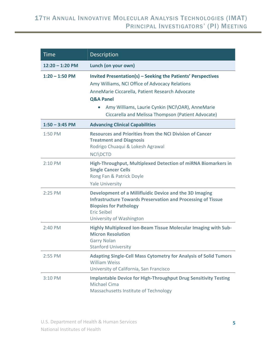| <b>Time</b>       | <b>Description</b>                                                                                                                                                                                                                                                                                  |
|-------------------|-----------------------------------------------------------------------------------------------------------------------------------------------------------------------------------------------------------------------------------------------------------------------------------------------------|
| $12:20 - 1:20$ PM | Lunch (on your own)                                                                                                                                                                                                                                                                                 |
| $1:20 - 1:50$ PM  | Invited Presentation(s) - Seeking the Patients' Perspectives<br>Amy Williams, NCI Office of Advocacy Relations<br>AnneMarie Ciccarella, Patient Research Advocate<br><b>Q&amp;A Panel</b><br>Amy Williams, Laurie Cynkin (NCI\OAR), AnneMarie<br>Ciccarella and Melissa Thompson (Patient Advocate) |
| $1:50 - 3:45$ PM  | <b>Advancing Clinical Capabilities</b>                                                                                                                                                                                                                                                              |
| 1:50 PM           | <b>Resources and Priorities from the NCI Division of Cancer</b><br><b>Treatment and Diagnosis</b><br>Rodrigo Chuaqui & Lokesh Agrawal<br><b>NCI\DCTD</b>                                                                                                                                            |
| 2:10 PM           | High-Throughput, Multiplexed Detection of miRNA Biomarkers in<br><b>Single Cancer Cells</b><br>Rong Fan & Patrick Doyle<br><b>Yale University</b>                                                                                                                                                   |
| 2:25 PM           | Development of a Millifluidic Device and the 3D Imaging<br><b>Infrastructure Towards Preservation and Processing of Tissue</b><br><b>Biopsies for Pathology</b><br><b>Eric Seibel</b><br>University of Washington                                                                                   |
| 2:40 PM           | Highly Multiplexed Ion-Beam Tissue Molecular Imaging with Sub-<br><b>Micron Resolution</b><br><b>Garry Nolan</b><br><b>Stanford University</b>                                                                                                                                                      |
| 2:55 PM           | <b>Adapting Single-Cell Mass Cytometry for Analysis of Solid Tumors</b><br><b>William Weiss</b><br>University of California, San Francisco                                                                                                                                                          |
| 3:10 PM           | <b>Implantable Device for High-Throughput Drug Sensitivity Testing</b><br><b>Michael Cima</b><br>Massachusetts Institute of Technology                                                                                                                                                              |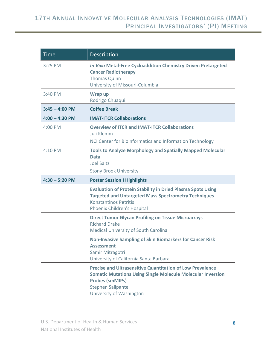| <b>Time</b>      | <b>Description</b>                                                                                                                                                                               |  |
|------------------|--------------------------------------------------------------------------------------------------------------------------------------------------------------------------------------------------|--|
| 3:25 PM          | In Vivo Metal-Free Cycloaddition Chemistry Driven Pretargeted<br><b>Cancer Radiotherapy</b><br><b>Thomas Quinn</b><br>University of Missouri-Columbia                                            |  |
| 3:40 PM          | Wrap up                                                                                                                                                                                          |  |
|                  | Rodrigo Chuaqui                                                                                                                                                                                  |  |
| $3:45 - 4:00$ PM | <b>Coffee Break</b>                                                                                                                                                                              |  |
| $4:00 - 4:30$ PM | <b>IMAT-ITCR Collaborations</b>                                                                                                                                                                  |  |
| 4:00 PM          | <b>Overview of ITCR and IMAT-ITCR Collaborations</b><br>Juli Klemm                                                                                                                               |  |
|                  | NCI Center for Bioinformatics and Information Technology                                                                                                                                         |  |
| 4:10 PM          | <b>Tools to Analyze Morphology and Spatially Mapped Molecular</b><br><b>Data</b><br><b>Joel Saltz</b><br><b>Stony Brook University</b>                                                           |  |
|                  |                                                                                                                                                                                                  |  |
| $4:30 - 5:20$ PM | <b>Poster Session I Highlights</b>                                                                                                                                                               |  |
|                  | <b>Evaluation of Protein Stability in Dried Plasma Spots Using</b><br><b>Targeted and Untargeted Mass Spectrometry Techniques</b><br><b>Konstantinos Petritis</b><br>Phoenix Children's Hospital |  |
|                  | <b>Direct Tumor Glycan Profiling on Tissue Microarrays</b><br><b>Richard Drake</b><br><b>Medical University of South Carolina</b>                                                                |  |
|                  | <b>Non-Invasive Sampling of Skin Biomarkers for Cancer Risk</b><br><b>Assessment</b><br>Samir Mitragotri<br>University of California Santa Barbara                                               |  |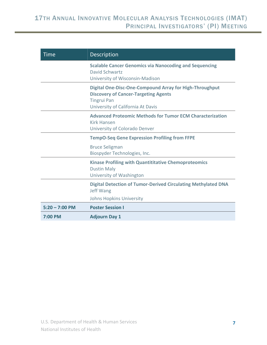| Time                                                  | Description                                                                                                                                                              |
|-------------------------------------------------------|--------------------------------------------------------------------------------------------------------------------------------------------------------------------------|
|                                                       | <b>Scalable Cancer Genomics via Nanocoding and Sequencing</b><br>David Schwartz<br>University of Wisconsin-Madison                                                       |
|                                                       | <b>Digital One-Disc-One-Compound Array for High-Throughput</b><br><b>Discovery of Cancer-Targeting Agents</b><br><b>Tingrui Pan</b><br>University of California At Davis |
|                                                       | <b>Advanced Proteomic Methods for Tumor ECM Characterization</b><br><b>Kirk Hansen</b><br>University of Colorado Denver                                                  |
|                                                       | <b>TempO-Seq Gene Expression Profiling from FFPE</b>                                                                                                                     |
| <b>Bruce Seligman</b><br>Biospyder Technologies, Inc. |                                                                                                                                                                          |
|                                                       | <b>Kinase Profiling with Quantititative Chemoproteomics</b><br><b>Dustin Maly</b><br>University of Washington                                                            |
|                                                       | <b>Digital Detection of Tumor-Derived Circulating Methylated DNA</b><br>Jeff Wang                                                                                        |
|                                                       | <b>Johns Hopkins University</b>                                                                                                                                          |
| $5:20 - 7:00$ PM                                      | <b>Poster Session I</b>                                                                                                                                                  |
| 7:00 PM                                               | <b>Adjourn Day 1</b>                                                                                                                                                     |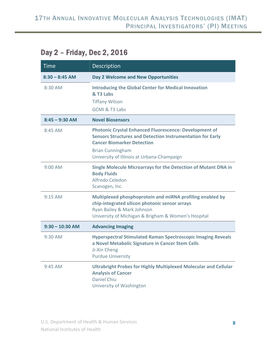# Day 2 – Friday, Dec 2, 2016

| <b>Time</b>       | Description                                                                                                                                                                                                                                      |
|-------------------|--------------------------------------------------------------------------------------------------------------------------------------------------------------------------------------------------------------------------------------------------|
| $8:30 - 8:45$ AM  | Day 2 Welcome and New Opportunities                                                                                                                                                                                                              |
| 8:30 AM           | <b>Introducing the Global Center for Medical Innovation</b><br>& T3 Labs<br><b>Tiffany Wilson</b><br>GCMI & T3 Labs                                                                                                                              |
| $8:45 - 9:30$ AM  | <b>Novel Biosensors</b>                                                                                                                                                                                                                          |
| 8:45 AM           | <b>Photonic Crystal Enhanced Fluorescence: Development of</b><br><b>Sensors Structures and Detection Instrumentation for Early</b><br><b>Cancer Biomarker Detection</b><br><b>Brian Cunningham</b><br>University of Illinois at Urbana-Champaign |
| 9:00 AM           | <b>Single Molecule Microarrays for the Detection of Mutant DNA in</b><br><b>Body Fluids</b><br>Alfredo Celedon<br>Scanogen, Inc.                                                                                                                 |
| $9:15$ AM         | Multiplexed phosphoprotein and miRNA profiling enabled by<br>chip-integrated silicon photonic sensor arrays<br>Ryan Bailey & Mark Johnson<br>University of Michigan & Brigham & Women's Hospital                                                 |
| $9:30 - 10:30$ AM | <b>Advancing Imaging</b>                                                                                                                                                                                                                         |
| 9:30 AM           | <b>Hyperspectral Stimulated Raman Spectroscopic Imaging Reveals</b><br>a Novel Metabolic Signature in Cancer Stem Cells<br>Ji-Xin Cheng<br><b>Purdue University</b>                                                                              |
| $9:45$ AM         | <b>Ultrabright Probes for Highly Multiplexed Molecular and Cellular</b><br><b>Analysis of Cancer</b><br>Daniel Chiu<br>University of Washington                                                                                                  |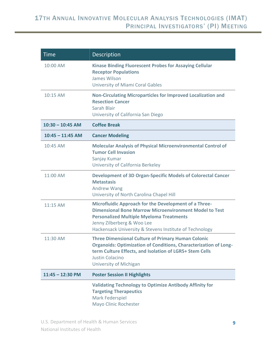| <b>Time</b>        | <b>Description</b>                                                                                                                                                                                                                                                        |
|--------------------|---------------------------------------------------------------------------------------------------------------------------------------------------------------------------------------------------------------------------------------------------------------------------|
| 10:00 AM           | <b>Kinase Binding Fluorescent Probes for Assaying Cellular</b><br><b>Receptor Populations</b><br>James Wilson<br>University of Miami Coral Gables                                                                                                                         |
| 10:15 AM           | <b>Non-Circulating Microparticles for Improved Localization and</b><br><b>Resection Cancer</b><br>Sarah Blair<br>University of California San Diego                                                                                                                       |
| $10:30 - 10:45$ AM | <b>Coffee Break</b>                                                                                                                                                                                                                                                       |
| $10:45 - 11:45$ AM | <b>Cancer Modeling</b>                                                                                                                                                                                                                                                    |
| 10:45 AM           | <b>Molecular Analysis of Physical Microenvironmental Control of</b><br><b>Tumor Cell Invasion</b><br>Sanjay Kumar<br>University of California Berkeley                                                                                                                    |
| 11:00 AM           | <b>Development of 3D Organ-Specific Models of Colorectal Cancer</b><br><b>Metastasis</b><br>Andrew Wang<br>University of North Carolina Chapel Hill                                                                                                                       |
| 11:15 AM           | <b>Microfluidic Approach for the Development of a Three-</b><br><b>Dimensional Bone Marrow Microenvironment Model to Test</b><br><b>Personalized Multiple Myeloma Treatments</b><br>Jenny Zilberberg & Woo Lee<br>Hackensack University & Stevens Institute of Technology |
| 11:30 AM           | <b>Three Dimensional Culture of Primary Human Colonic</b><br><b>Organoids: Optimization of Conditions, Characterization of Long-</b><br>term Culture Effects, and Isolation of LGR5+ Stem Cells<br><b>Justin Colacino</b><br><b>University of Michigan</b>                |
| $11:45 - 12:30$ PM | <b>Poster Session II Highlights</b>                                                                                                                                                                                                                                       |
|                    | <b>Validating Technology to Optimize Antibody Affinity for</b><br><b>Targeting Therapeutics</b><br>Mark Federspiel<br>Mayo Clinic Rochester                                                                                                                               |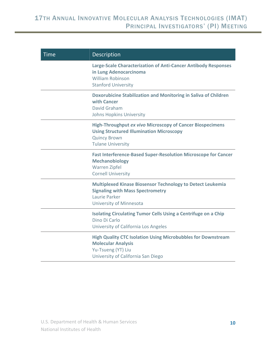| <b>Time</b> | Description                                                                                                                                                            |
|-------------|------------------------------------------------------------------------------------------------------------------------------------------------------------------------|
|             | Large-Scale Characterization of Anti-Cancer Antibody Responses<br>in Lung Adenocarcinoma<br><b>William Robinson</b><br><b>Stanford University</b>                      |
|             | <b>Doxorubicine Stabilization and Monitoring in Saliva of Children</b><br>with Cancer<br>David Graham<br><b>Johns Hopkins University</b>                               |
|             | <b>High-Throughput ex vivo Microscopy of Cancer Biospecimens</b><br><b>Using Structured Illumination Microscopy</b><br><b>Quincy Brown</b><br><b>Tulane University</b> |
|             | <b>Fast Interference-Based Super-Resolution Microscope for Cancer</b><br><b>Mechanobiology</b><br><b>Warren Zipfel</b><br><b>Cornell University</b>                    |
|             | <b>Multiplexed Kinase Biosensor Technology to Detect Leukemia</b><br><b>Signaling with Mass Spectrometry</b><br>Laurie Parker<br>University of Minnesota               |
|             | <b>Isolating Circulating Tumor Cells Using a Centrifuge on a Chip</b><br>Dino Di Carlo<br>University of California Los Angeles                                         |
|             | <b>High Quality CTC Isolation Using Microbubbles for Downstream</b><br><b>Molecular Analysis</b><br>Yu-Tsueng (YT) Liu<br>University of California San Diego           |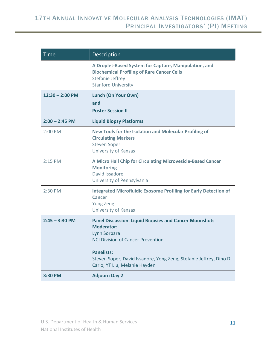| <b>Time</b>       | <b>Description</b>                                                                                                                                                                                                                                                         |
|-------------------|----------------------------------------------------------------------------------------------------------------------------------------------------------------------------------------------------------------------------------------------------------------------------|
|                   | A Droplet-Based System for Capture, Manipulation, and<br><b>Biochemical Profiling of Rare Cancer Cells</b><br>Stefanie Jeffrey<br><b>Stanford University</b>                                                                                                               |
| $12:30 - 2:00$ PM | <b>Lunch (On Your Own)</b><br>and<br><b>Poster Session II</b>                                                                                                                                                                                                              |
| $2:00 - 2:45$ PM  | <b>Liquid Biopsy Platforms</b>                                                                                                                                                                                                                                             |
| 2:00 PM           | <b>New Tools for the Isolation and Molecular Profiling of</b><br><b>Circulating Markers</b><br><b>Steven Soper</b><br><b>University of Kansas</b>                                                                                                                          |
| 2:15 PM           | A Micro Hall Chip for Circulating Microvesicle-Based Cancer<br><b>Monitoring</b><br>David Issadore<br>University of Pennsylvania                                                                                                                                           |
| 2:30 PM           | <b>Integrated Microfluidic Exosome Profiling for Early Detection of</b><br><b>Cancer</b><br><b>Yong Zeng</b><br><b>University of Kansas</b>                                                                                                                                |
| $2:45 - 3:30$ PM  | <b>Panel Discussion: Liquid Biopsies and Cancer Moonshots</b><br><b>Moderator:</b><br>Lynn Sorbara<br><b>NCI Division of Cancer Prevention</b><br><b>Panelists:</b><br>Steven Soper, David Issadore, Yong Zeng, Stefanie Jeffrey, Dino Di<br>Carlo, YT Liu, Melanie Hayden |
| 3:30 PM           | <b>Adjourn Day 2</b>                                                                                                                                                                                                                                                       |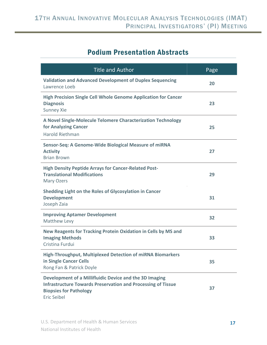# Podium Presentation Abstracts

| <b>Title and Author</b>                                                                                                                                                        | Page |
|--------------------------------------------------------------------------------------------------------------------------------------------------------------------------------|------|
| <b>Validation and Advanced Development of Duplex Sequencing</b><br>Lawrence Loeb                                                                                               | 20   |
| <b>High Precision Single Cell Whole Genome Application for Cancer</b><br><b>Diagnosis</b><br><b>Sunney Xie</b>                                                                 | 23   |
| A Novel Single-Molecule Telomere Characterization Technology<br>for Analyzing Cancer<br><b>Harold Riethman</b>                                                                 | 25   |
| Sensor-Seq: A Genome-Wide Biological Measure of miRNA<br><b>Activity</b><br><b>Brian Brown</b>                                                                                 | 27   |
| <b>High Density Peptide Arrays for Cancer-Related Post-</b><br><b>Translational Modifications</b><br>Mary Ozers                                                                | 29   |
| Shedding Light on the Roles of Glycosylation in Cancer<br><b>Development</b><br>Joseph Zaia                                                                                    | 31   |
| <b>Improving Aptamer Development</b><br>Matthew Levy                                                                                                                           | 32   |
| New Reagents for Tracking Protein Oxidation in Cells by MS and<br><b>Imaging Methods</b><br>Cristina Furdui                                                                    | 33   |
| <b>High-Throughput, Multiplexed Detection of miRNA Biomarkers</b><br>in Single Cancer Cells<br>Rong Fan & Patrick Doyle                                                        | 35   |
| Development of a Millifluidic Device and the 3D Imaging<br><b>Infrastructure Towards Preservation and Processing of Tissue</b><br><b>Biopsies for Pathology</b><br>Eric Seibel | 37   |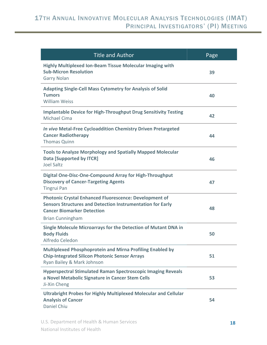| <b>Title and Author</b>                                                                                                                                                                            | Page |
|----------------------------------------------------------------------------------------------------------------------------------------------------------------------------------------------------|------|
| <b>Highly Multiplexed Ion-Beam Tissue Molecular Imaging with</b><br><b>Sub-Micron Resolution</b><br><b>Garry Nolan</b>                                                                             | 39   |
| <b>Adapting Single-Cell Mass Cytometry for Analysis of Solid</b><br><b>Tumors</b><br><b>William Weiss</b>                                                                                          | 40   |
| <b>Implantable Device for High-Throughput Drug Sensitivity Testing</b><br><b>Michael Cima</b>                                                                                                      | 42   |
| In vivo Metal-Free Cycloaddition Chemistry Driven Pretargeted<br><b>Cancer Radiotherapy</b><br><b>Thomas Quinn</b>                                                                                 | 44   |
| <b>Tools to Analyze Morphology and Spatially Mapped Molecular</b><br><b>Data [Supported by ITCR]</b><br><b>Joel Saltz</b>                                                                          | 46   |
| Digital One-Disc-One-Compound Array for High-Throughput<br><b>Discovery of Cancer-Targeting Agents</b><br><b>Tingrui Pan</b>                                                                       | 47   |
| <b>Photonic Crystal Enhanced Fluorescence: Development of</b><br><b>Sensors Structures and Detection Instrumentation for Early</b><br><b>Cancer Biomarker Detection</b><br><b>Brian Cunningham</b> | 48   |
| Single Molecule Microarrays for the Detection of Mutant DNA in<br><b>Body Fluids</b><br>Alfredo Celedon                                                                                            | 50   |
| <b>Multiplexed Phosphoprotein and Mirna Profiling Enabled by</b><br><b>Chip-Integrated Silicon Photonic Sensor Arrays</b><br>Ryan Bailey & Mark Johnson                                            | 51   |
| <b>Hyperspectral Stimulated Raman Spectroscopic Imaging Reveals</b><br>a Novel Metabolic Signature in Cancer Stem Cells<br>Ji-Xin Cheng                                                            | 53   |
| Ultrabright Probes for Highly Multiplexed Molecular and Cellular<br><b>Analysis of Cancer</b><br>Daniel Chiu                                                                                       | 54   |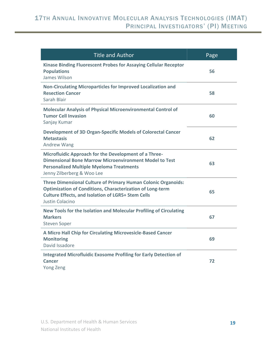| <b>Title and Author</b>                                                                                                                                                                                                  | Page |
|--------------------------------------------------------------------------------------------------------------------------------------------------------------------------------------------------------------------------|------|
| Kinase Binding Fluorescent Probes for Assaying Cellular Receptor<br><b>Populations</b><br>James Wilson                                                                                                                   | 56   |
| Non-Circulating Microparticles for Improved Localization and<br><b>Resection Cancer</b><br>Sarah Blair                                                                                                                   | 58   |
| <b>Molecular Analysis of Physical Microenvironmental Control of</b><br><b>Tumor Cell Invasion</b><br>Sanjay Kumar                                                                                                        | 60   |
| <b>Development of 3D Organ-Specific Models of Colorectal Cancer</b><br><b>Metastasis</b><br>Andrew Wang                                                                                                                  | 62   |
| Microfluidic Approach for the Development of a Three-<br><b>Dimensional Bone Marrow Microenvironment Model to Test</b><br><b>Personalized Multiple Myeloma Treatments</b><br>Jenny Zilberberg & Woo Lee                  | 63   |
| <b>Three Dimensional Culture of Primary Human Colonic Organoids:</b><br><b>Optimization of Conditions, Characterization of Long-term</b><br><b>Culture Effects, and Isolation of LGR5+ Stem Cells</b><br>Justin Colacino | 65   |
| New Tools for the Isolation and Molecular Profiling of Circulating<br><b>Markers</b><br><b>Steven Soper</b>                                                                                                              | 67   |
| A Micro Hall Chip for Circulating Microvesicle-Based Cancer<br><b>Monitoring</b><br>David Issadore                                                                                                                       | 69   |
| <b>Integrated Microfluidic Exosome Profiling for Early Detection of</b><br><b>Cancer</b><br>Yong Zeng                                                                                                                    | 72   |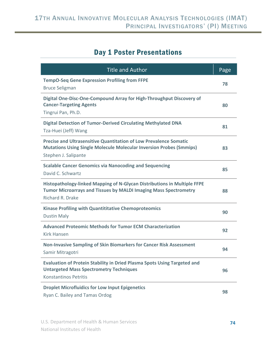## Day 1 Poster Presentations

| <b>Title and Author</b>                                                                                                                                                        | Page |
|--------------------------------------------------------------------------------------------------------------------------------------------------------------------------------|------|
| <b>TempO-Seq Gene Expression Profiling from FFPE</b><br><b>Bruce Seligman</b>                                                                                                  | 78   |
| Digital One-Disc-One-Compound Array for High-Throughput Discovery of<br><b>Cancer-Targeting Agents</b><br>Tingrui Pan, Ph.D.                                                   | 80   |
| <b>Digital Detection of Tumor-Derived Circulating Methylated DNA</b><br>Tza-Huei (Jeff) Wang                                                                                   | 81   |
| <b>Precise and Ultrasensitive Quantitation of Low Prevalence Somatic</b><br><b>Mutations Using Single Molecule Molecular Inversion Probes (Smmips)</b><br>Stephen J. Salipante | 83   |
| <b>Scalable Cancer Genomics via Nanocoding and Sequencing</b><br>David C. Schwartz                                                                                             | 85   |
| Histopathology-linked Mapping of N-Glycan Distributions in Multiple FFPE<br><b>Tumor Microarrays and Tissues by MALDI Imaging Mass Spectrometry</b><br>Richard R. Drake        | 88   |
| Kinase Profiling with Quantititative Chemoproteomics<br><b>Dustin Maly</b>                                                                                                     | 90   |
| <b>Advanced Proteomic Methods for Tumor ECM Characterization</b><br>Kirk Hansen                                                                                                | 92   |
| <b>Non-Invasive Sampling of Skin Biomarkers for Cancer Risk Assessment</b><br>Samir Mitragotri                                                                                 | 94   |
| <b>Evaluation of Protein Stability in Dried Plasma Spots Using Targeted and</b><br><b>Untargeted Mass Spectrometry Techniques</b><br><b>Konstantinos Petritis</b>              | 96   |
| <b>Droplet Microfluidics for Low Input Epigenetics</b><br>Ryan C. Bailey and Tamas Ordog                                                                                       | 98   |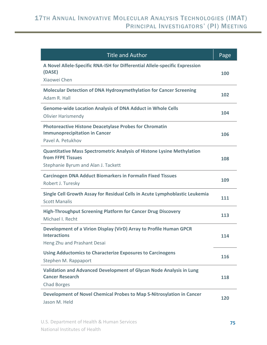| <b>Title and Author</b>                                                                                                                   | Page |
|-------------------------------------------------------------------------------------------------------------------------------------------|------|
| A Novel Allele-Specific RNA-ISH for Differential Allele-specific Expression<br>(DASE)<br>Xiaowei Chen                                     | 100  |
| <b>Molecular Detection of DNA Hydroxymethylation for Cancer Screening</b><br>Adam R. Hall                                                 | 102  |
| <b>Genome-wide Location Analysis of DNA Adduct in Whole Cells</b><br><b>Olivier Harismendy</b>                                            | 104  |
| <b>Photoreactive Histone Deacetylase Probes for Chromatin</b><br><b>Immunoprecipitation in Cancer</b><br>Pavel A. Petukhov                | 106  |
| <b>Quantitative Mass Spectrometric Analysis of Histone Lysine Methylation</b><br>from FFPE Tissues<br>Stephanie Byrum and Alan J. Tackett | 108  |
| <b>Carcinogen DNA Adduct Biomarkers in Formalin Fixed Tissues</b><br>Robert J. Turesky                                                    | 109  |
| Single Cell Growth Assay for Residual Cells in Acute Lymphoblastic Leukemia<br><b>Scott Manalis</b>                                       | 111  |
| <b>High-Throughput Screening Platform for Cancer Drug Discovery</b><br>Michael I. Recht                                                   | 113  |
| Development of a Virion Display (VirD) Array to Profile Human GPCR<br><b>Interactions</b><br>Heng Zhu and Prashant Desai                  | 114  |
| <b>Using Adductomics to Characterize Exposures to Carcinogens</b><br>Stephen M. Rappaport                                                 | 116  |
| Validation and Advanced Development of Glycan Node Analysis in Lung<br><b>Cancer Research</b><br><b>Chad Borges</b>                       | 118  |
| Development of Novel Chemical Probes to Map S-Nitrosylation in Cancer<br>Jason M. Held                                                    | 120  |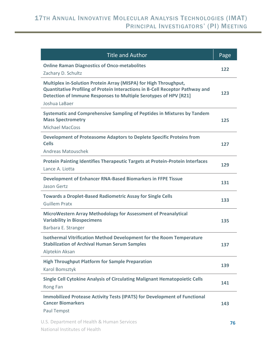| <b>Title and Author</b>                                                                                                                                                                                                                | Page |
|----------------------------------------------------------------------------------------------------------------------------------------------------------------------------------------------------------------------------------------|------|
| <b>Online Raman Diagnostics of Onco-metabolites</b><br>Zachary D. Schultz                                                                                                                                                              | 122  |
| Multiplex in-Solution Protein Array (MISPA) for High Throughput,<br>Quantitative Profiling of Protein Interactions in B-Cell Receptor Pathway and<br>Detection of Immune Responses to Multiple Serotypes of HPV [R21]<br>Joshua LaBaer | 123  |
| Systematic and Comprehensive Sampling of Peptides in Mixtures by Tandem<br><b>Mass Spectrometry</b><br><b>Michael MacCoss</b>                                                                                                          | 125  |
| Development of Proteasome Adaptors to Deplete Specific Proteins from<br><b>Cells</b><br><b>Andreas Matouschek</b>                                                                                                                      | 127  |
| Protein Painting Identifies Therapeutic Targets at Protein-Protein Interfaces<br>Lance A. Liotta                                                                                                                                       | 129  |
| Development of Enhancer RNA-Based Biomarkers in FFPE Tissue<br><b>Jason Gertz</b>                                                                                                                                                      | 131  |
| <b>Towards a Droplet-Based Radiometric Assay for Single Cells</b><br><b>Guillem Pratx</b>                                                                                                                                              | 133  |
| MicroWestern Array Methodology for Assessment of Preanalytical<br><b>Variability in Biospecimens</b><br>Barbara E. Stranger                                                                                                            | 135  |
| <b>Isothermal Vitrification Method Development for the Room Temperature</b><br><b>Stabilization of Archival Human Serum Samples</b><br>Alptekin Aksan                                                                                  | 137  |
| <b>High Throughput Platform for Sample Preparation</b><br>Karol Bomsztyk                                                                                                                                                               | 139  |
| <b>Single Cell Cytokine Analysis of Circulating Malignant Hematopoietic Cells</b><br>Rong Fan                                                                                                                                          | 141  |
| <b>Immobilized Protease Activity Tests (IPATS) for Development of Functional</b><br><b>Cancer Biomarkers</b><br>Paul Tempst                                                                                                            | 143  |
| U.S. Department of Health & Human Services                                                                                                                                                                                             | 76   |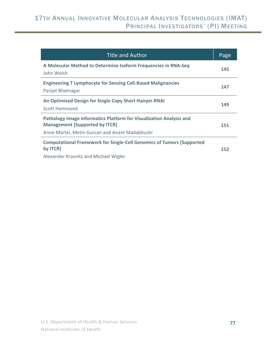| <b>Title and Author</b>                                                                                                                                        | Page |
|----------------------------------------------------------------------------------------------------------------------------------------------------------------|------|
| A Molecular Method to Determine Isoform Frequencies in RNA-Seq<br>John Welsh                                                                                   | 145  |
| <b>Engineering T Lymphocyte for Sensing Cell-Based Malignancies</b><br>Parijat Bhatnagar                                                                       | 147  |
| An Optimized Design for Single Copy Short Hairpin RNAi<br>Scott Hammond                                                                                        | 149  |
| Pathology Image Informatics Platform for Visualization Analysis and<br><b>Management [Supported by ITCR]</b><br>Anne Martel, Metin Gurcan and Anant Madabhushi | 151  |
| <b>Computational Framework for Single-Cell Genomics of Tumors [Supported</b><br>by <b>ITCR</b><br>Alexander Krasnitz and Michael Wigler                        | 152  |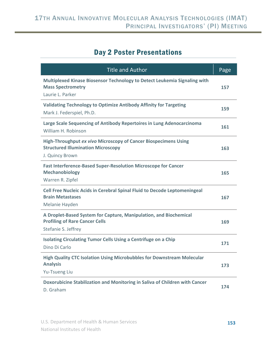## Day 2 Poster Presentations

| <b>Title and Author</b>                                                                                                                | Page |
|----------------------------------------------------------------------------------------------------------------------------------------|------|
| Multiplexed Kinase Biosensor Technology to Detect Leukemia Signaling with<br><b>Mass Spectrometry</b><br>Laurie L. Parker              | 157  |
| <b>Validating Technology to Optimize Antibody Affinity for Targeting</b><br>Mark J. Federspiel, Ph.D.                                  | 159  |
| Large Scale Sequencing of Antibody Repertoires in Lung Adenocarcinoma<br>William H. Robinson                                           | 161  |
| <b>High-Throughput ex vivo Microscopy of Cancer Biospecimens Using</b><br><b>Structured Illumination Microscopy</b><br>J. Quincy Brown | 163  |
| <b>Fast Interference-Based Super-Resolution Microscope for Cancer</b><br><b>Mechanobiology</b><br>Warren R. Zipfel                     | 165  |
| Cell Free Nucleic Acids in Cerebral Spinal Fluid to Decode Leptomeningeal<br><b>Brain Metastases</b><br>Melanie Hayden                 | 167  |
| A Droplet-Based System for Capture, Manipulation, and Biochemical<br><b>Profiling of Rare Cancer Cells</b><br>Stefanie S. Jeffrey      | 169  |
| <b>Isolating Circulating Tumor Cells Using a Centrifuge on a Chip</b><br>Dino Di Carlo                                                 | 171  |
| High Quality CTC Isolation Using Microbubbles for Downstream Molecular<br><b>Analysis</b><br>Yu-Tsueng Liu                             | 173  |
| Doxorubicine Stabilization and Monitoring in Saliva of Children with Cancer<br>D. Graham                                               | 174  |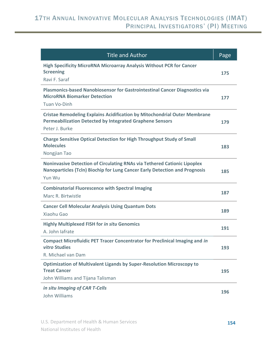| <b>Title and Author</b>                                                                                                                                               | Page |
|-----------------------------------------------------------------------------------------------------------------------------------------------------------------------|------|
| <b>High Specificity MicroRNA Microarray Analysis Without PCR for Cancer</b><br><b>Screening</b><br>Ravi F. Saraf                                                      | 175  |
| Plasmonics-based Nanobiosensor for Gastrointestinal Cancer Diagnostics via<br><b>MicroRNA Biomarker Detection</b><br>Tuan Vo-Dinh                                     | 177  |
| <b>Cristae Remodeling Explains Acidification by Mitochondrial Outer Membrane</b><br><b>Permeabilization Detected by Integrated Graphene Sensors</b><br>Peter J. Burke | 179  |
| <b>Charge Sensitive Optical Detection for High Throughput Study of Small</b><br><b>Molecules</b><br>Nongjian Tao                                                      | 183  |
| Noninvasive Detection of Circulating RNAs via Tethered Cationic Lipoplex<br>Nanoparticles (Tcln) Biochip for Lung Cancer Early Detection and Prognosis<br>Yun Wu      | 185  |
| <b>Combinatorial Fluorescence with Spectral Imaging</b><br>Marc R. Birtwistle                                                                                         | 187  |
| <b>Cancer Cell Molecular Analysis Using Quantum Dots</b><br><b>Xiaohu Gao</b>                                                                                         | 189  |
| <b>Highly Multiplexed FISH for in situ Genomics</b><br>A. John lafrate                                                                                                | 191  |
| <b>Compact Microfluidic PET Tracer Concentrator for Preclinical Imaging and in</b><br>vitro Studies<br>R. Michael van Dam                                             | 193  |
| <b>Optimization of Multivalent Ligands by Super-Resolution Microscopy to</b><br><b>Treat Cancer</b><br>John Williams and Tijana Talisman                              | 195  |
| in situ Imaging of CAR T-Cells<br>John Williams                                                                                                                       | 196  |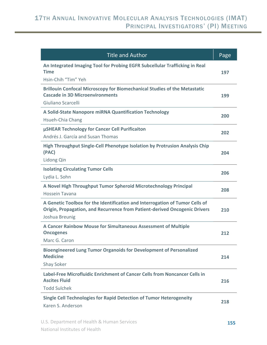| <b>Title and Author</b>                                                                                                                                                      | Page |
|------------------------------------------------------------------------------------------------------------------------------------------------------------------------------|------|
| An Integrated Imaging Tool for Probing EGFR Subcellular Trafficking in Real<br><b>Time</b>                                                                                   | 197  |
| Hsin-Chih "Tim" Yeh                                                                                                                                                          |      |
| <b>Brillouin Confocal Microscopy for Biomechanical Studies of the Metastatic</b><br><b>Cascade in 3D Microenvironments</b>                                                   | 199  |
| Giuliano Scarcelli                                                                                                                                                           |      |
| A Solid-State Nanopore miRNA Quantification Technology<br>Hsueh-Chia Chang                                                                                                   | 200  |
| µSHEAR Technology for Cancer Cell Purificaiton                                                                                                                               | 202  |
| Andrés J. García and Susan Thomas                                                                                                                                            |      |
| High Throughput Single-Cell Phenotype Isolation by Protrusion Analysis Chip<br>(PAC)                                                                                         | 204  |
| Lidong Qin                                                                                                                                                                   |      |
| <b>Isolating Circulating Tumor Cells</b><br>Lydia L. Sohn                                                                                                                    | 206  |
| A Novel High Throughput Tumor Spheroid Microtechnology Principal                                                                                                             | 208  |
| <b>Hossein Tavana</b>                                                                                                                                                        |      |
| A Genetic Toolbox for the Identification and Interrogation of Tumor Cells of<br>Origin, Propagation, and Recurrence from Patient-derived Oncogenic Drivers<br>Joshua Breunig | 210  |
| A Cancer Rainbow Mouse for Simultaneous Assessment of Multiple<br><b>Oncogenes</b>                                                                                           | 212  |
| Marc G. Caron                                                                                                                                                                |      |
| <b>Bioengineered Lung Tumor Organoids for Development of Personalized</b><br><b>Medicine</b>                                                                                 | 214  |
| <b>Shay Soker</b>                                                                                                                                                            |      |
| Label-Free Microfluidic Enrichment of Cancer Cells from Noncancer Cells in<br><b>Ascites Fluid</b>                                                                           | 216  |
| <b>Todd Sulchek</b>                                                                                                                                                          |      |
| <b>Single Cell Technologies for Rapid Detection of Tumor Heterogeneity</b><br>Karen S. Anderson                                                                              | 218  |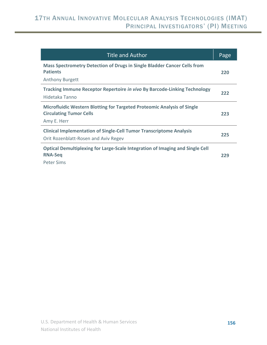| <b>Title and Author</b>                                                                                                  | Page |
|--------------------------------------------------------------------------------------------------------------------------|------|
| Mass Spectrometry Detection of Drugs in Single Bladder Cancer Cells from<br><b>Patients</b><br><b>Anthony Burgett</b>    | 220  |
| Tracking Immune Receptor Repertoire in vivo By Barcode-Linking Technology<br>Hidetaka Tanno                              | 222  |
| Microfluidic Western Blotting for Targeted Proteomic Analysis of Single<br><b>Circulating Tumor Cells</b><br>Amy E. Herr | 223  |
| <b>Clinical Implementation of Single-Cell Tumor Transcriptome Analysis</b><br>Orit Rozenblatt-Rosen and Aviv Regev       | 225  |
| Optical Demultiplexing for Large-Scale Integration of Imaging and Single Cell<br><b>RNA-Seq</b><br><b>Peter Sims</b>     | 229  |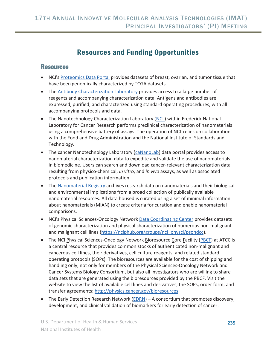## Resources and Funding Opportunities

#### **Resources**

- NCI's Proteomics Data Portal provides datasets of breast, ovarian, and tumor tissue that have been genomically characterized by TCGA datasets.
- The Antibody Characterization Laboratory provides access to a large number of reagents and accompanying characterization data. Antigens and antibodies are expressed, purified, and characterized using standard operating procedures, with all accompanying protocols and data.
- The Nanotechnology Characterization Laboratory (NCL) within Frederick National Laboratory for Cancer Research performs preclinical characterization of nanomaterials using a comprehensive battery of assays. The operation of NCL relies on collaboration with the Food and Drug Administration and the National Institute of Standards and Technology.
- The cancer Nanotechnology Laboratory (caNanoLab) data portal provides access to nanomaterial characterization data to expedite and validate the use of nanomaterials in biomedicine. Users can search and download cancer-relevant characterization data resulting from physico-chemical, *in vitro*, and *in vivo* assays, as well as associated protocols and publication information.
- The Nanomaterial Registry archives research data on nanomaterials and their biological and environmental implications from a broad collection of publically available nanomaterial resources. All data housed is curated using a set of minimal information about nanomaterials (MIAN) to create criteria for curation and enable nanomaterial comparisons.
- NCI's Physical Sciences-Oncology Network Data Coordinating Center provides datasets of genomic characterization and physical characterization of numerous non-malignant and malignant cell lines (https://nciphub.org/groups/nci\_physci/psondcc).
- The NCI Physical Sciences-Oncology Network Bioresource Core Facility (PBCF) at ATCC is a central resource that provides common stocks of authenticated non-malignant and cancerous cell lines, their derivatives, cell culture reagents, and related standard operating protocols (SOPs). The bioresources are available for the cost of shipping and handling only, not only for members of the Physical Sciences-Oncology Network and Cancer Systems Biology Consortium, but also all investigators who are willing to share data sets that are generated using the bioresources provided by the PBCF. Visit the website to view the list of available cell lines and derivatives, the SOPs, order form, and transfer agreements: http://physics.cancer.gov/bioresources.
- The Early Detection Research Network  $(EDRN) A$  consortium that promotes discovery, development, and clinical validation of biomarkers for early detection of cancer.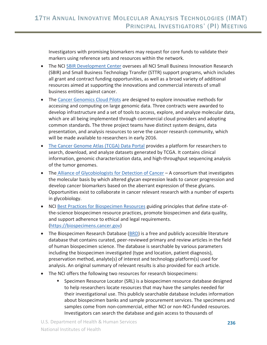Investigators with promising biomarkers may request for core funds to validate their markers using reference sets and resources within the network.

- The NCI SBIR Development Center oversees all NCI Small Business Innovation Research (SBIR) and Small Business Technology Transfer (STTR) support programs, which includes all grant and contract funding opportunities, as well as a broad variety of additional resources aimed at supporting the innovations and commercial interests of small business entities against cancer.
- The Cancer Genomics Cloud Pilots are designed to explore innovative methods for accessing and computing on large genomic data. Three contracts were awarded to develop infrastructure and a set of tools to access, explore, and analyze molecular data, which are all being implemented through commercial cloud providers and adopting common standards. The three project teams have distinct system designs, data presentation, and analysis resources to serve the cancer research community, which will be made available to researchers in early 2016.
- The Cancer Genome Atlas (TCGA) Data Portal provides a platform for researchers to search, download, and analyze datasets generated by TCGA. It contains clinical information, genomic characterization data, and high-throughput sequencing analysis of the tumor genomes.
- The Alliance of Glycobiologists for Detection of Cancer A consortium that investigates the molecular basis by which altered glycan expression leads to cancer progression and develop cancer biomarkers based on the aberrant expression of these glycans. Opportunities exist to collaborate in cancer relevant research with a number of experts in glycobiology.
- NCI Best Practices for Biospecimen Resources guiding principles that define state-ofthe-science biospecimen resource practices, promote biospecimen and data quality, and support adherence to ethical and legal requirements. (https://biospecimens.cancer.gov)
- The Biospecimen Research Database ( $BRD$ ) is a free and publicly accessible literature database that contains curated, peer-reviewed primary and review articles in the field of human biospecimen science. The database is searchable by various parameters including the biospecimen investigated (type and location, patient diagnosis), preservation method, analyte(s) of interest and technology platform(s) used for analysis. An original summary of relevant results is also provided for each article.
- The NCI offers the following two resources for research biospecimens:
	- Specimen Resource Locator (SRL) is a biospecimen resource database designed to help researchers locate resources that may have the samples needed for their investigational use. This publicly searchable database includes information about biospecimen banks and sample procurement services. The specimens and samples come from non-commercial, either NCI or non-NCI-funded resources. Investigators can search the database and gain access to thousands of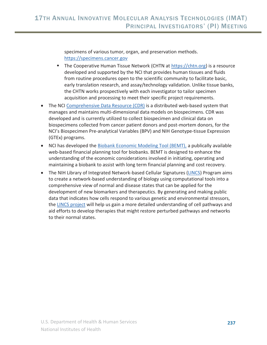specimens of various tumor, organ, and preservation methods. https://specimens.cancer.gov

- The Cooperative Human Tissue Network (CHTN at https://chtn.org) is a resource developed and supported by the NCI that provides human tissues and fluids from routine procedures open to the scientific community to facilitate basic, early translation research, and assay/technology validation. Unlike tissue banks, the CHTN works prospectively with each investigator to tailor specimen acquisition and processing to meet their specific project requirements.
- The NCI Comprehensive Data Resource (CDR) is a distributed web-based system that manages and maintains multi-dimensional data models on biospecimens. CDR was developed and is currently utilized to collect biospecimen and clinical data on biospecimens collected from cancer patient donors and post-mortem donors, for the NCI's Biospecimen Pre-analytical Variables (BPV) and NIH Genotype-tissue Expression (GTEx) programs.
- NCI has developed the Biobank Economic Modeling Tool (BEMT), a publically available web-based financial planning tool for biobanks. BEMT is designed to enhance the understanding of the economic considerations involved in initiating, operating and maintaining a biobank to assist with long term financial planning and cost recovery.
- The NIH Library of Integrated Network-based Cellular Signatures (LINCS) Program aims to create a network-based understanding of biology using computational tools into a comprehensive view of normal and disease states that can be applied for the development of new biomarkers and therapeutics. By generating and making public data that indicates how cells respond to various genetic and environmental stressors, the LINCS project will help us gain a more detailed understanding of cell pathways and aid efforts to develop therapies that might restore perturbed pathways and networks to their normal states.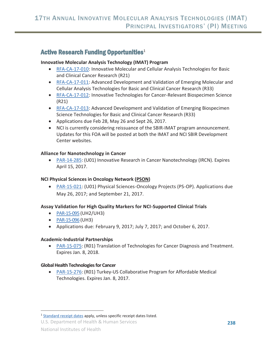### Active Research Funding Opportunities<sup>1</sup>

#### **Innovative Molecular Analysis Technology (IMAT) Program**

- RFA-CA-17-010: Innovative Molecular and Cellular Analysis Technologies for Basic and Clinical Cancer Research (R21)
- RFA-CA-17-011: Advanced Development and Validation of Emerging Molecular and Cellular Analysis Technologies for Basic and Clinical Cancer Research (R33)
- RFA-CA-17-012: Innovative Technologies for Cancer-Relevant Biospecimen Science (R21)
- RFA-CA-17-013: Advanced Development and Validation of Emerging Biospecimen Science Technologies for Basic and Clinical Cancer Research (R33)
- Applications due Feb 28, May 26 and Sept 26, 2017.
- NCI is currently considering reissuance of the SBIR-IMAT program announcement. Updates for this FOA will be posted at both the IMAT and NCI SBIR Development Center websites.

#### **Alliance for Nanotechnology in Cancer**

• PAR-14-285: (U01) Innovative Research in Cancer Nanotechnology (IRCN). Expires April 15, 2017.

#### **NCI Physical Sciences in Oncology Network (PSON)**

• PAR-15-021: (U01) Physical Sciences-Oncology Projects (PS-OP). Applications due May 26, 2017; and September 21, 2017.

#### **Assay Validation for High Quality Markers for NCI-Supported Clinical Trials**

- $\bullet$  PAR-15-095 (UH2/UH3)
- PAR-15-096 (UH3)
- Applications due: February 9, 2017; July 7, 2017; and October 6, 2017.

#### **Academic-Industrial Partnerships**

• PAR-15-075: (R01) Translation of Technologies for Cancer Diagnosis and Treatment. Expires Jan. 8, 2018.

#### **Global Health Technologies for Cancer**

PAR-15-276: (R01) Turkey-US Collaborative Program for Affordable Medical Technologies. Expires Jan. 8, 2017.

 $\overline{a}$ 

<sup>&</sup>lt;sup>1</sup> Standard receipt dates apply, unless specific receipt dates listed.

U.S. Department of Health & Human Services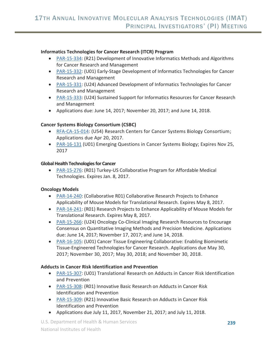#### **Informatics Technologies for Cancer Research (ITCR) Program**

- PAR-15-334: (R21) Development of Innovative Informatics Methods and Algorithms for Cancer Research and Management
- PAR-15-332: (U01) Early-Stage Development of Informatics Technologies for Cancer Research and Management
- PAR-15-331: (U24) Advanced Development of Informatics Technologies for Cancer Research and Management
- PAR-15-333: (U24) Sustained Support for Informatics Resources for Cancer Research and Management
- Applications due: June 14, 2017; November 20, 2017; and June 14, 2018.

#### **Cancer Systems Biology Consortium (CSBC)**

- RFA-CA-15-014: (U54) Research Centers for Cancer Systems Biology Consortium; Applications due Apr 20, 2017.
- PAR-16-131 (U01) Emerging Questions in Cancer Systems Biology; Expires Nov 25, 2017

#### **Global Health Technologies for Cancer**

PAR-15-276: (R01) Turkey-US Collaborative Program for Affordable Medical Technologies. Expires Jan. 8, 2017.

#### **Oncology Models**

- PAR-14-240: (Collaborative R01) Collaborative Research Projects to Enhance Applicability of Mouse Models for Translational Research. Expires May 8, 2017.
- PAR-14-241: (R01) Research Projects to Enhance Applicability of Mouse Models for Translational Research. Expires May 8, 2017.
- PAR-15-266: (U24) Oncology Co-Clinical Imaging Research Resources to Encourage Consensus on Quantitative Imaging Methods and Precision Medicine. Applications due: June 14, 2017; November 17, 2017; and June 14, 2018.
- PAR-16-105: (U01) Cancer Tissue Engineering Collaborative: Enabling Biomimetic Tissue-Engineered Technologies for Cancer Research. Applications due May 30, 2017; November 30, 2017; May 30, 2018; and November 30, 2018.

#### **Adducts in Cancer Risk Identification and Prevention**

- PAR-15-307: (U01) Translational Research on Adducts in Cancer Risk Identification and Prevention
- PAR-15-308: (R01) Innovative Basic Research on Adducts in Cancer Risk Identification and Prevention
- PAR-15-309: (R21) Innovative Basic Research on Adducts in Cancer Risk Identification and Prevention
- Applications due July 11, 2017, November 21, 2017; and July 11, 2018.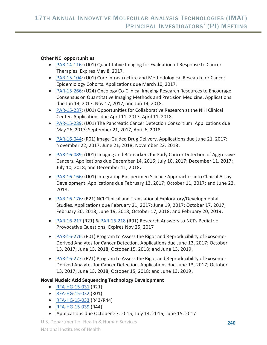#### **Other NCI opportunities**

- PAR-14-116: (U01) Quantitative Imaging for Evaluation of Response to Cancer Therapies. Expires May 8, 2017.
- PAR-15-104: (U01) Core Infrastructure and Methodological Research for Cancer Epidemiology Cohorts. Applications due March 10, 2017.
- PAR-15-266: (U24) Oncology Co-Clinical Imaging Research Resources to Encourage Consensus on Quantitative Imaging Methods and Precision Medicine. Applications due Jun 14, 2017, Nov 17, 2017, and Jun 14, 2018.
- PAR-15-287: (U01) Opportunities for Collaborative Research at the NIH Clinical Center. Applications due April 11, 2017, April 11, 2018.
- PAR-15-289: (U01) The Pancreatic Cancer Detection Consortium. Applications due May 26, 2017; September 21, 2017, April 6, 2018.
- x PAR-16-044**:** (R01) Image-Guided Drug Delivery. Applications due June 21, 2017; November 22, 2017; June 21, 2018; November 22, 2018**.**
- PAR-16-089: (U01) Imaging and Biomarkers for Early Cancer Detection of Aggressive Cancers**.** Applications due December 14, 2016; July 10, 2017; December 11, 2017; July 10, 2018; and December 11, 2018**.**
- PAR-16-166: (U01) Integrating Biospecimen Science Approaches into Clinical Assay Development. Applications due February 13, 2017; October 11, 2017; and June 22, 2018**.**
- x PAR-16-176**:** (R21) NCI Clinical and Translational Exploratory/Developmental Studies. Applications due February 21, 2017; June 19, 2017; October 17, 2017; February 20, 2018; June 19, 2018; October 17, 2018; and February 20, 2019.
- x PAR-16-217 (R21) & PAR-16-218 (R01) Research Answers to NCI's Pediatric Provocative Questions; Expires Nov 25, 2017
- PAR-16-276: (R01) Program to Assess the Rigor and Reproducibility of Exosome-Derived Analytes for Cancer Detection. Applications due June 13, 2017; October 13, 2017; June 13, 2018; October 15, 2018; and June 13, 2019.
- PAR-16-277: (R21) Program to Assess the Rigor and Reproducibility of Exosome-Derived Analytes for Cancer Detection. Applications due June 13, 2017; October 13, 2017; June 13, 2018; October 15, 2018; and June 13, 2019**.**

#### **Novel Nucleic Acid Sequencing Technology Development**

- $RFA-HG-15-031$  (R21)
- RFA-HG-15-032 (R01)
- $\bullet$  RFA-HG-15-033 (R43/R44)
- $\bullet$  RFA-HG-15-039 (R44)
- Applications due October 27, 2015; July 14, 2016; June 15, 2017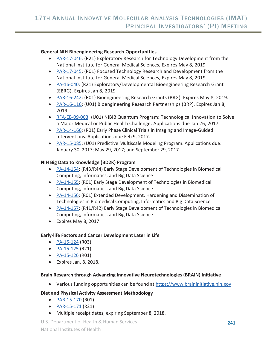#### **General NIH Bioengineering Research Opportunities**

- PAR-17-046: (R21) Exploratory Research for Technology Development from the National Institute for General Medical Sciences, Expires May 8, 2019
- PAR-17-045: (R01) Focused Technology Research and Development from the National Institute for General Medical Sciences, Expires May 8, 2019
- PA-16-040: (R21) Exploratory/Developmental Bioengineering Research Grant (EBRG), Expires Jan 8, 2019
- PAR-16-242: (R01) Bioengineering Research Grants (BRG). Expires May 8, 2019.
- PAR-16-116: (U01) Bioengineering Research Partnerships (BRP). Expires Jan 8, 2019.
- RFA-EB-09-003: (U01) NIBIB Quantum Program: Technological Innovation to Solve a Major Medical or Public Health Challenge. Applications due Jan 26, 2017.
- PAR-14-166: (R01) Early Phase Clinical Trials in Imaging and Image-Guided Interventions. Applications due Feb 9, 2017.
- PAR-15-085: (U01) Predictive Multiscale Modeling Program. Applications due: January 30, 2017; May 29, 2017; and September 29, 2017.

#### **NIH Big Data to Knowledge (BD2K) Program**

- PA-14-154: (R43/R44) Early Stage Development of Technologies in Biomedical Computing, Informatics, and Big Data Science
- PA-14-155: (R01) Early Stage Development of Technologies in Biomedical Computing, Informatics, and Big Data Science
- PA-14-156: (R01) Extended Development, Hardening and Dissemination of Technologies in Biomedical Computing, Informatics and Big Data Science
- PA-14-157: (R41/R42) Early Stage Development of Technologies in Biomedical Computing, Informatics, and Big Data Science
- $\bullet$  Expires May 8, 2017

#### **Early-life Factors and Cancer Development Later in Life**

- $PA-15-124$  (R03)
- $PA-15-125$  (R21)
- $PA-15-126 (R01)$
- $\bullet$  Expires Jan. 8, 2018.

#### **Brain Research through Advancing Innovative Neurotechnologies (BRAIN) Initiative**

• Various funding opportunities can be found at https://www.braininitiative.nih.gov

#### **Diet and Physical Activity Assessment Methodology**

- $\bullet$  PAR-15-170 (R01)
- $PAR-15-171 (R21)$
- Multiple receipt dates, expiring September 8, 2018.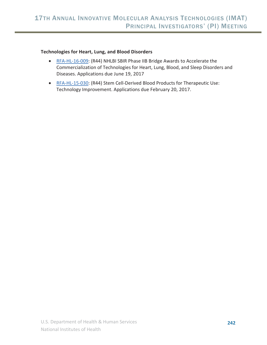#### **Technologies for Heart, Lung, and Blood Disorders**

- RFA-HL-16-009: (R44) NHLBI SBIR Phase IIB Bridge Awards to Accelerate the Commercialization of Technologies for Heart, Lung, Blood, and Sleep Disorders and Diseases. Applications due June 19, 2017
- RFA-HL-15-030: (R44) Stem Cell-Derived Blood Products for Therapeutic Use: Technology Improvement. Applications due February 20, 2017.